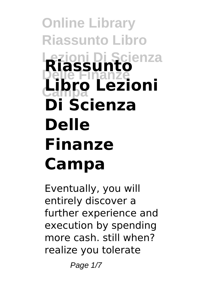## **Online Library Riassunto Libro Lezioni Di Scienza Riassunto Delle Finanze Campa Libro Lezioni Di Scienza Delle Finanze Campa**

Eventually, you will entirely discover a further experience and execution by spending more cash. still when? realize you tolerate

Page  $1/7$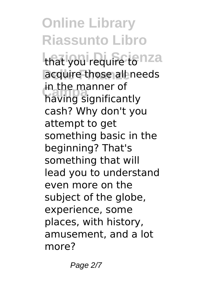**Online Library Riassunto Libro** that you require tonza acquire those all needs In the manner of<br>having significantly in the manner of cash? Why don't you attempt to get something basic in the beginning? That's something that will lead you to understand even more on the subject of the globe, experience, some places, with history, amusement, and a lot more?

Page 2/7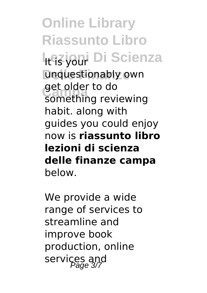**Online Library Riassunto Libro Lesioni Di Scienza** unquestionably own get older to do<br>Something revi something reviewing habit. along with guides you could enjoy now is **riassunto libro lezioni di scienza delle finanze campa** below.

We provide a wide range of services to streamline and improve book production, online services and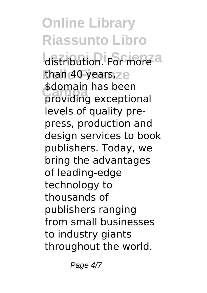**Online Library Riassunto Libro** distribution. For more a than 40 years, ze submain has been<br>providing exceptional \$domain has been levels of quality prepress, production and design services to book publishers. Today, we bring the advantages of leading-edge technology to thousands of publishers ranging from small businesses to industry giants throughout the world.

Page 4/7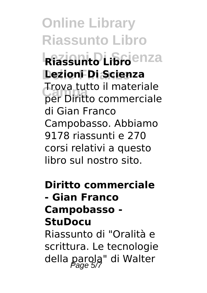**Online Library Riassunto Libro Riassunto Libro**enza **Delle Finanze Lezioni Di Scienza Campa** per Diritto commerciale Trova tutto il materiale di Gian Franco Campobasso. Abbiamo 9178 riassunti e 270 corsi relativi a questo libro sul nostro sito.

**Diritto commerciale - Gian Franco Campobasso - StuDocu**

Riassunto di "Oralità e scrittura. Le tecnologie della parola" di Walter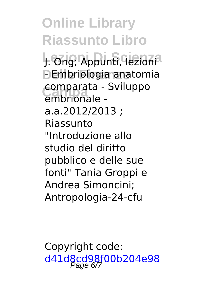**Online Library Riassunto Libro** J. Ong; Appunti, lezioni<sup>a</sup> **DEmbriologia anatomia Campa** embrionale comparata - Sviluppo a.a.2012/2013 ; Riassunto "Introduzione allo studio del diritto pubblico e delle sue fonti" Tania Groppi e Andrea Simoncini; Antropologia-24-cfu

Copyright code: [d41d8cd98f00b204e98](/sitemap.xml)